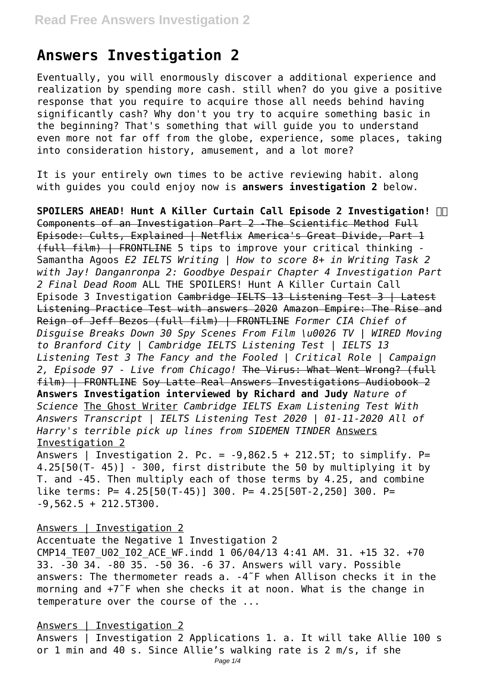# **Answers Investigation 2**

Eventually, you will enormously discover a additional experience and realization by spending more cash. still when? do you give a positive response that you require to acquire those all needs behind having significantly cash? Why don't you try to acquire something basic in the beginning? That's something that will guide you to understand even more not far off from the globe, experience, some places, taking into consideration history, amusement, and a lot more?

It is your entirely own times to be active reviewing habit. along with guides you could enjoy now is **answers investigation 2** below.

**SPOILERS AHEAD! Hunt A Killer Curtain Call Episode 2 Investigation!**  Components of an Investigation Part 2 -The Scientific Method Full Episode: Cults, Explained | Netflix America's Great Divide, Part 1 (full film) | FRONTLINE 5 tips to improve your critical thinking - Samantha Agoos *E2 IELTS Writing | How to score 8+ in Writing Task 2 with Jay! Danganronpa 2: Goodbye Despair Chapter 4 Investigation Part 2 Final Dead Room* ALL THE SPOILERS! Hunt A Killer Curtain Call Episode 3 Investigation Cambridge IELTS 13 Listening Test 3 | Latest Listening Practice Test with answers 2020 Amazon Empire: The Rise and Reign of Jeff Bezos (full film) | FRONTLINE *Former CIA Chief of Disguise Breaks Down 30 Spy Scenes From Film \u0026 TV | WIRED Moving to Branford City | Cambridge IELTS Listening Test | IELTS 13 Listening Test 3 The Fancy and the Fooled | Critical Role | Campaign 2, Episode 97 - Live from Chicago!* The Virus: What Went Wrong? (full film) | FRONTLINE Soy Latte Real Answers Investigations Audiobook 2 **Answers Investigation interviewed by Richard and Judy** *Nature of Science* The Ghost Writer *Cambridge IELTS Exam Listening Test With Answers Transcript | IELTS Listening Test 2020 | 01-11-2020 All of Harry's terrible pick up lines from SIDEMEN TINDER* Answers Investigation 2

Answers | Investigation 2. Pc. =  $-9,862.5 + 212.5T$ ; to simplify. P= 4.25[50(T- 45)] - 300, first distribute the 50 by multiplying it by T. and -45. Then multiply each of those terms by 4.25, and combine like terms: P= 4.25[50(T-45)] 300. P= 4.25[50T-2,250] 300. P=  $-9,562.5 + 212.5T300.$ 

Answers | Investigation 2

Accentuate the Negative 1 Investigation 2 CMP14 TE07 U02 I02 ACE WF.indd 1 06/04/13 4:41 AM. 31. +15 32. +70 33. -30 34. -80 35. -50 36. -6 37. Answers will vary. Possible answers: The thermometer reads a. -4˜F when Allison checks it in the morning and +7˜F when she checks it at noon. What is the change in temperature over the course of the ...

# Answers | Investigation 2

Answers | Investigation 2 Applications 1. a. It will take Allie 100 s or 1 min and 40 s. Since Allie's walking rate is 2 m/s, if she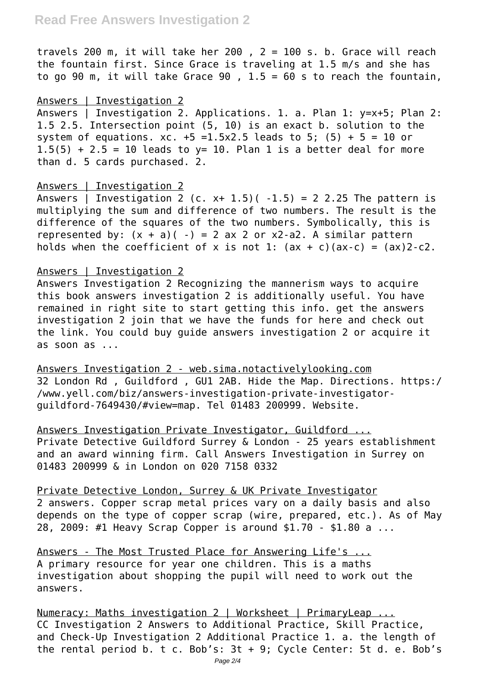# **Read Free Answers Investigation 2**

travels 200 m, it will take her 200 ,  $2 = 100$  s. b. Grace will reach the fountain first. Since Grace is traveling at 1.5 m/s and she has to go 90 m, it will take Grace 90 ,  $1.5 = 60$  s to reach the fountain,

#### Answers | Investigation 2

Answers | Investigation 2. Applications. 1. a. Plan 1: y=x+5; Plan 2: 1.5 2.5. Intersection point (5, 10) is an exact b. solution to the system of equations.  $xc. +5 = 1.5x2.5$  leads to 5; (5) + 5 = 10 or  $1.5(5) + 2.5 = 10$  leads to y= 10. Plan 1 is a better deal for more than d. 5 cards purchased. 2.

#### Answers | Investigation 2

Answers | Investigation 2 (c. x+ 1.5)(  $-1.5$ ) = 2 2.25 The pattern is multiplying the sum and difference of two numbers. The result is the difference of the squares of the two numbers. Symbolically, this is represented by:  $(x + a)( -) = 2$  ax 2 or x2-a2. A similar pattern holds when the coefficient of x is not 1:  $(ax + c)(ax-c) = (ax)2-c2$ .

#### Answers | Investigation 2

Answers Investigation 2 Recognizing the mannerism ways to acquire this book answers investigation 2 is additionally useful. You have remained in right site to start getting this info. get the answers investigation 2 join that we have the funds for here and check out the link. You could buy guide answers investigation 2 or acquire it  $as$  soon  $as$   $\ldots$ 

Answers Investigation 2 - web.sima.notactivelylooking.com 32 London Rd , Guildford , GU1 2AB. Hide the Map. Directions. https:/ /www.yell.com/biz/answers-investigation-private-investigatorguildford-7649430/#view=map. Tel 01483 200999. Website.

Answers Investigation Private Investigator, Guildford ... Private Detective Guildford Surrey & London - 25 years establishment and an award winning firm. Call Answers Investigation in Surrey on 01483 200999 & in London on 020 7158 0332

Private Detective London, Surrey & UK Private Investigator 2 answers. Copper scrap metal prices vary on a daily basis and also depends on the type of copper scrap (wire, prepared, etc.). As of May 28, 2009: #1 Heavy Scrap Copper is around \$1.70 - \$1.80 a ...

Answers - The Most Trusted Place for Answering Life's ... A primary resource for year one children. This is a maths investigation about shopping the pupil will need to work out the answers.

Numeracy: Maths investigation 2 | Worksheet | PrimaryLeap ... CC Investigation 2 Answers to Additional Practice, Skill Practice, and Check-Up Investigation 2 Additional Practice 1. a. the length of the rental period b. t c. Bob's: 3t + 9; Cycle Center: 5t d. e. Bob's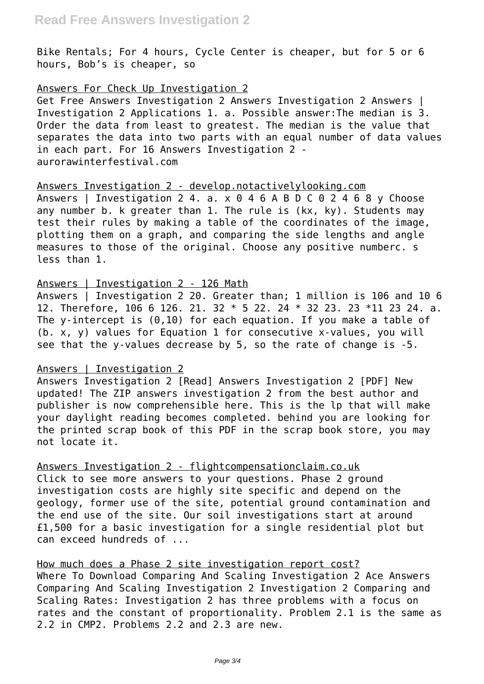Bike Rentals; For 4 hours, Cycle Center is cheaper, but for 5 or 6 hours, Bob's is cheaper, so

#### Answers For Check Up Investigation 2

Get Free Answers Investigation 2 Answers Investigation 2 Answers | Investigation 2 Applications 1. a. Possible answer:The median is 3. Order the data from least to greatest. The median is the value that separates the data into two parts with an equal number of data values in each part. For 16 Answers Investigation 2 aurorawinterfestival.com

#### Answers Investigation 2 - develop.notactivelylooking.com

Answers | Investigation 2 4. a.  $\times$  0 4 6 A B D C 0 2 4 6 8 y Choose any number b. k greater than 1. The rule is (kx, ky). Students may test their rules by making a table of the coordinates of the image, plotting them on a graph, and comparing the side lengths and angle measures to those of the original. Choose any positive numberc. s less than 1.

# Answers | Investigation 2 - 126 Math

Answers | Investigation 2 20. Greater than; 1 million is 106 and 10 6 12. Therefore, 106 6 126. 21. 32 \* 5 22. 24 \* 32 23. 23 \*11 23 24. a. The y-intercept is  $(0,10)$  for each equation. If you make a table of (b. x, y) values for Equation 1 for consecutive x-values, you will see that the y-values decrease by 5, so the rate of change is -5.

# Answers | Investigation 2

Answers Investigation 2 [Read] Answers Investigation 2 [PDF] New updated! The ZIP answers investigation 2 from the best author and publisher is now comprehensible here. This is the lp that will make your daylight reading becomes completed. behind you are looking for the printed scrap book of this PDF in the scrap book store, you may not locate it.

Answers Investigation 2 - flightcompensationclaim.co.uk Click to see more answers to your questions. Phase 2 ground investigation costs are highly site specific and depend on the geology, former use of the site, potential ground contamination and the end use of the site. Our soil investigations start at around £1,500 for a basic investigation for a single residential plot but can exceed hundreds of ...

# How much does a Phase 2 site investigation report cost?

Where To Download Comparing And Scaling Investigation 2 Ace Answers Comparing And Scaling Investigation 2 Investigation 2 Comparing and Scaling Rates: Investigation 2 has three problems with a focus on rates and the constant of proportionality. Problem 2.1 is the same as 2.2 in CMP2. Problems 2.2 and 2.3 are new.